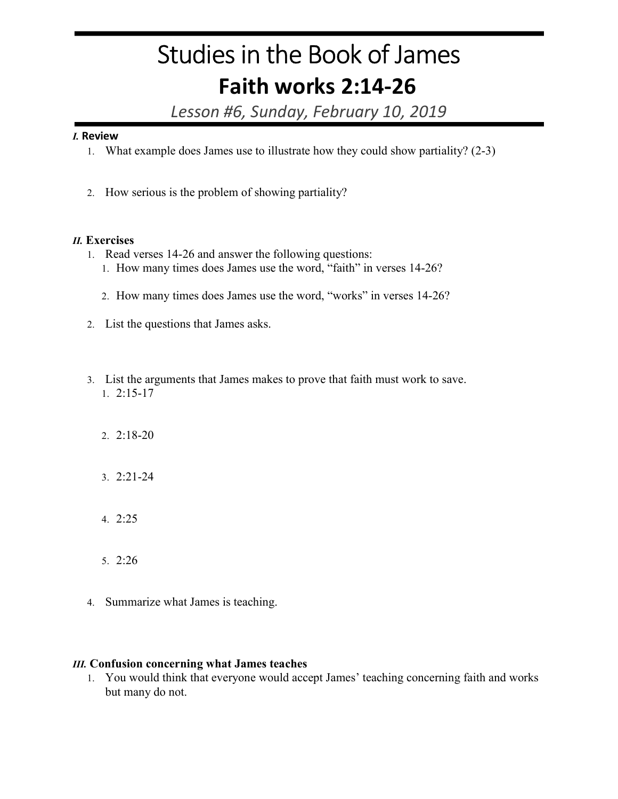# Studies in the Book of James Faith works 2:14-26

Lesson #6, Sunday, February 10, 2019

#### I. Review

- 1. What example does James use to illustrate how they could show partiality? (2-3)
- 2. How serious is the problem of showing partiality?

#### II. Exercises

- 1. Read verses 14-26 and answer the following questions:
	- 1. How many times does James use the word, "faith" in verses 14-26?
	- 2. How many times does James use the word, "works" in verses 14-26?
- 2. List the questions that James asks.
- 3. List the arguments that James makes to prove that faith must work to save. 1. 2:15-17
	- 2. 2:18-20
	- 3. 2:21-24
	- 4. 2:25
	- 5. 2:26
- 4. Summarize what James is teaching.

#### III. Confusion concerning what James teaches

1. You would think that everyone would accept James' teaching concerning faith and works but many do not.